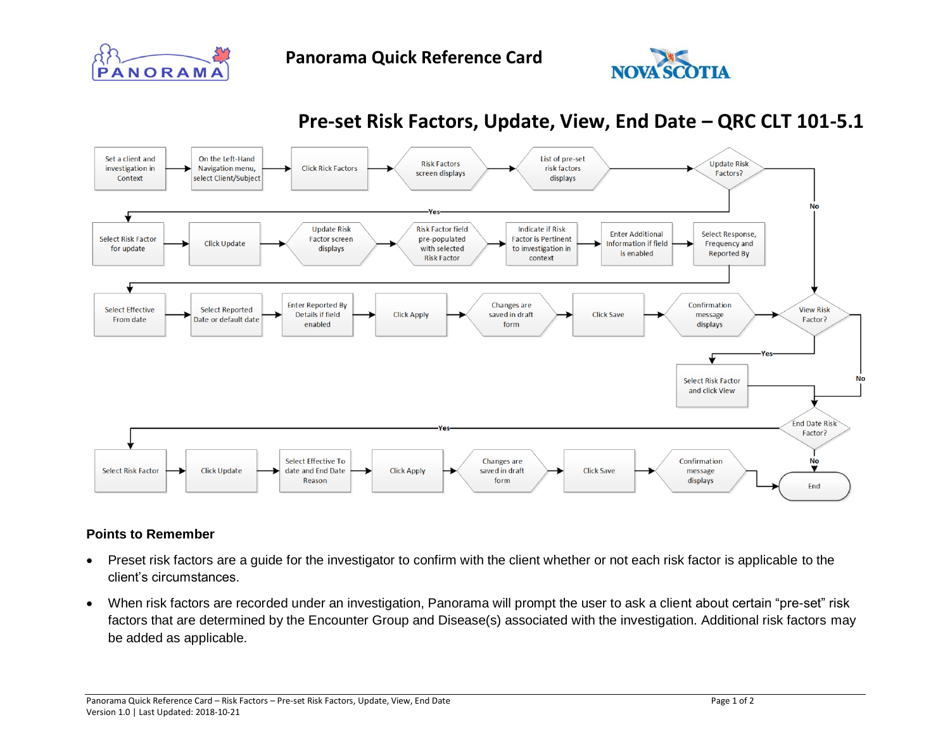

## **Pre-set Risk Factors, Update, View, End Date – QRC CLT 101-5.1**



## **Points to Remember**

- Preset risk factors are a guide for the investigator to confirm with the client whether or not each risk factor is applicable to the client's circumstances.
- When risk factors are recorded under an investigation, Panorama will prompt the user to ask a client about certain "pre-set" risk factors that are determined by the Encounter Group and Disease(s) associated with the investigation. Additional risk factors may be added as applicable.